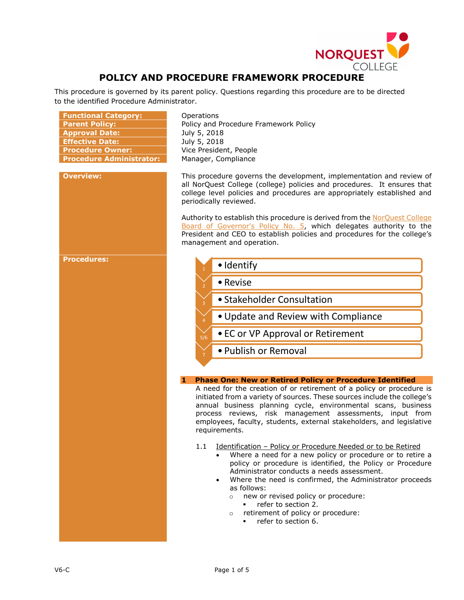

# **POLICY AND PROCEDURE FRAMEWORK PROCEDURE**

This procedure is governed by its parent policy. Questions regarding this procedure are to be directed to the identified Procedure Administrator.

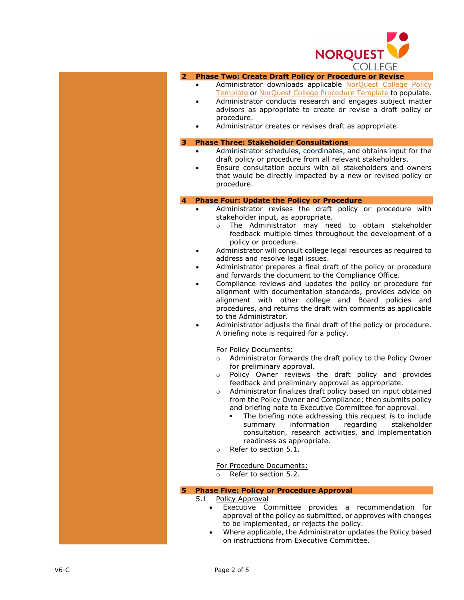

# **2 Phase Two: Create Draft Policy or Procedure or Revise**

- Administrator downloads applicable NorQuest College Policy [Template](https://www.norquest.ca/NorquestCollege/media/pdf/policies/POLICY-Template.pdf) or [NorQuest College Procedure Template](https://www.norquest.ca/NorquestCollege/media/pdf/policies/PROCEDURE-Template.pdf) to populate.
- Administrator conducts research and engages subject matter advisors as appropriate to create or revise a draft policy or procedure .
- Administrator creates or revises draft as appropriate.

#### **3 Phase Three: Stakeholder Consultations**

- Administrator schedules, coordinates, and obtains input for the draft policy or procedure from all relevant stakeholder s .
- Ensure consultation occurs with all stakeholders and owners that would be directly impacted by a new or revised policy or procedure.

# **4 Phase Four: Update the Policy or Procedure**

- Administrator revises the draft policy or procedure with stakeholder input, as appropriate .
	- o The Administrator may need to obtain stakeholder feedback multiple times throughout the development of a policy or procedure.
- Administrator will consult college legal resources as required to address and resolve legal issues .
- Administrator prepares a final draft of the policy or procedure and forward s the document to the Compliance Office .
- Compliance review s and updates the policy or procedure for alignment with documentation standards , provides advice on alignment with other college and Board policies and procedures, and returns the draft with comments as applicable to the Administrator .
- Administrator adjusts the final draft of the policy or procedure. A briefing note is required for a policy.

For Policy Documents :

- o Administrator forwards the draft policy to the Policy Owner for preliminary approval.
- o Policy Owner reviews the draft policy and provides feedback and preliminary approval as appropriate.
- o Administrator finalizes draft policy based on input obtained from the Policy Owner and Compliance; then submits policy and briefing note to Executive Committee for approval .
	- The briefing note addressing this request is to include summary information regarding stakeholder consultation, research activities , and implementation readiness as appropriate.
- o Refer to section 5.1.

For Procedure Documents :

o Refer to section 5.2.

### **5 Phase Five: Policy or Procedure Approval**

# 5.1 Policy Approval

- Executive Committee provides a recommendation for approval of the policy as submitted, or approves with changes to be implemented, or rejects the policy.
- Where applicable, the Administrator updates the Policy based on instructions from Executive Committee.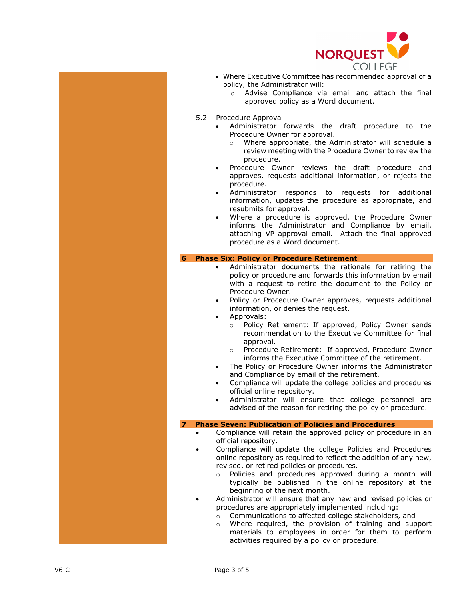

- Where Executive Committee has recommended approval of a policy, the Administrator will :
	- o Advise Compliance via email and attach the final approved policy as a Word document.
- 5.2 Procedure Approval
	- Administrator forwards the draft procedure to the Procedure Owner for approval.
		- o Where appropriate, the Administrator will schedule a review meeting with the Procedure Owner to review the procedure .
	- Procedure Owner reviews the draft procedure and approves, requests additional information , or rejects the procedure.
	- Administrator responds to requests for additional information, updates the procedure as appropriate , and resubmits for approval.
	- Where a procedure is approved, the Procedure Owner informs the Administrator and Compliance by email, attaching VP approval email. Attach the final approved procedure as a Word document.

#### **6 Phase Six: Policy or Procedure Retirement**

- Administrator documents the rationale for retiring the policy or procedure and forwards this information by email with a request to retire the document to the Policy or Procedure Owner.
- Policy or Procedure Owner approves, requests additional information, or denies the request.
- Approvals :
	- o Policy Retirement: If approved, Policy Owner sends recommendation to the Executive Committee for final approval .
	- o Procedure Retirement: If approve d, Procedure Owner informs the Executive Committee of the retirement.
- The Policy or Procedure Owner informs the Administrator and Compliance by email of the retirement .
- Compliance will update the college policies and procedures official online repository.
- Administrator will ensure that college personnel are advised of the reason for retiring the policy or procedure.

### **7 Phase Seven: Publication of Policies and Procedures**

- Compliance will retain the approved policy or procedure in a n official repository.
- Compliance will update the college Policies and Procedures online repository as required to reflect the addition of any new, revised , or retired policies or procedures.
	- o Policies and procedures approved during a month will typically be published in the online repository at the beginning of the next month.
- Administrator will ensure that any new and revised policies or procedures are appropriately implemented including:
	- $\circ$  Communications to affected college stakeholders, and  $\circ$  Where required, the provision of training and sup
	- Where required, the provision of training and support materials to employees in order for them to perform activities required by a policy or procedure.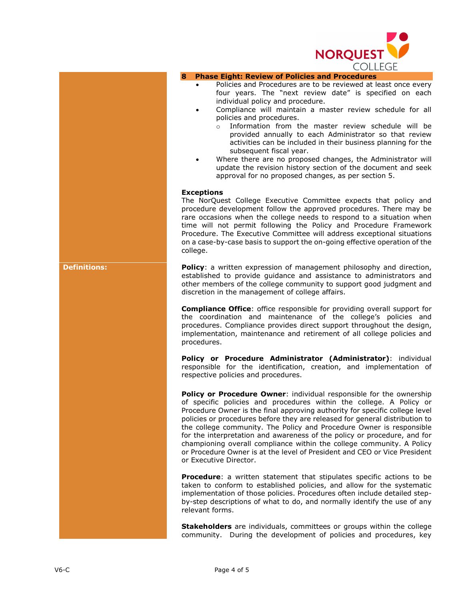

## **8 Phase Eight: Review of Policies and Procedures**

- Policies and Procedures are to be reviewed at least once every four years. The "next review date" is specified on each individual policy and procedure.
	- Compliance will maintain a master review schedule for all policies and procedures.
		- o Information from the master review schedule will be provided annually to each Administrator so that review activities can be included in their business planning for the subsequent fiscal year.
- Where there are no proposed changes, the Administrator will update the revision history section of the document and seek approval for no proposed changes, as per section 5.

# **Exceptions**

The NorQuest College Executive Committee expects that policy and procedure development follow the approved procedures. There may be rare occasions when the college needs to respond to a situation when time will not permit following the Policy and Procedure Framework Procedure. The Executive Committee will address exceptional situations on a case-by-case basis to support the on-going effective operation of the college.

**Definitions: Policy:** a written expression of management philosophy and direction, established to provide guidance and assistance to administrators and other members of the college community to support good judgment and discretion in the management of college affairs.

> **Compliance Office**: office responsible for providing overall support for the coordination and maintenance of the college's policies and procedures. Compliance provides direct support throughout the design, implementation, maintenance and retirement of all college policies and procedures.

> **Policy or Procedure Administrator (Administrator)**: individual responsible for the identification, creation, and implementation of respective policies and procedures.

> **Policy or Procedure Owner**: individual responsible for the ownership of specific policies and procedures within the college. A Policy or Procedure Owner is the final approving authority for specific college level policies or procedures before they are released for general distribution to the college community. The Policy and Procedure Owner is responsible for the interpretation and awareness of the policy or procedure, and for championing overall compliance within the college community. A Policy or Procedure Owner is at the level of President and CEO or Vice President or Executive Director.

> **Procedure**: a written statement that stipulates specific actions to be taken to conform to established policies, and allow for the systematic implementation of those policies. Procedures often include detailed stepby-step descriptions of what to do, and normally identify the use of any relevant forms.

> **Stakeholders** are individuals, committees or groups within the college community. During the development of policies and procedures, key